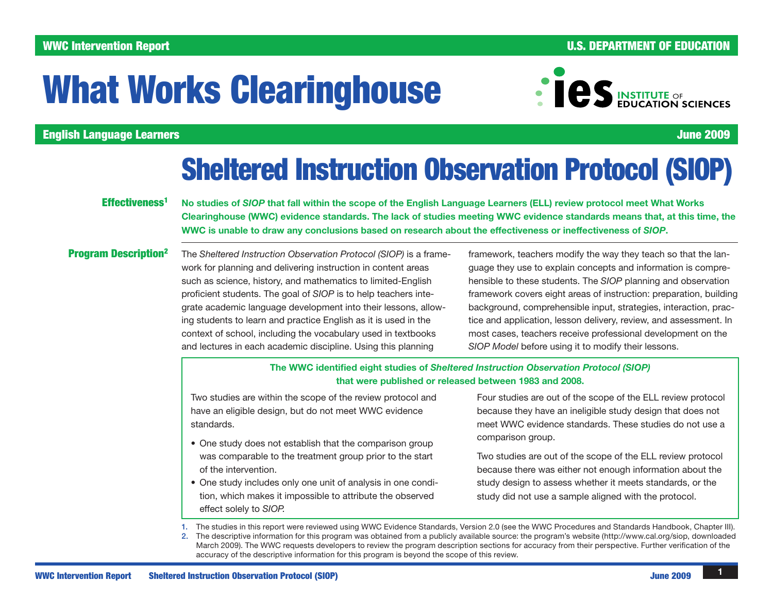### WWC Intervention Report **And The Contract of Contract Contract Contract Contract Contract Contract Contract Contract Contract Contract Contract Contract Contract Contract Contract Contract Contract Contract Contract Contra**

# What Works Clearinghouse



English Language Learners June 2009

## Sheltered Instruction Observation Protocol (SIOP)

#### Effectiveness<sup>1</sup>

No studies of *SIOP* that fall within the scope of the English Language Learners (ELL) review protocol meet What Works Clearinghouse (WWC) evidence standards. The lack of studies meeting WWC evidence standards means that, at this time, the WWC is unable to draw any conclusions based on research about the effectiveness or ineffectiveness of *SIOP*.

#### Program Description2

The *Sheltered Instruction Observation Protocol (SIOP)* is a framework for planning and delivering instruction in content areas such as science, history, and mathematics to limited-English proficient students. The goal of *SIOP* is to help teachers integrate academic language development into their lessons, allowing students to learn and practice English as it is used in the context of school, including the vocabulary used in textbooks and lectures in each academic discipline. Using this planning

framework, teachers modify the way they teach so that the language they use to explain concepts and information is comprehensible to these students. The *SIOP* planning and observation framework covers eight areas of instruction: preparation, building background, comprehensible input, strategies, interaction, practice and application, lesson delivery, review, and assessment. In most cases, teachers receive professional development on the *SIOP Model* before using it to modify their lessons.

#### The WWC identified eight studies of *Sheltered Instruction Observation Protocol (SIOP)* that were published or released between 1983 and 2008.

Two studies are within the scope of the review protocol and have an eligible design, but do not meet WWC evidence standards.

- One study does not establish that the comparison group was comparable to the treatment group prior to the start of the intervention.
- One study includes only one unit of analysis in one condition, which makes it impossible to attribute the observed effect solely to *SIOP.*

Four studies are out of the scope of the ELL review protocol because they have an ineligible study design that does not meet WWC evidence standards. These studies do not use a comparison group.

Two studies are out of the scope of the ELL review protocol because there was either not enough information about the study design to assess whether it meets standards, or the study did not use a sample aligned with the protocol.

1. The studies in this report were reviewed using WWC Evidence Standards, Version 2.0 (see the [WWC Procedures and Standards Handbook,](http://ies.ed.gov/ncee/wwc/references/iDocViewer/Doc.aspx?docId=19&tocId=4) Chapter III). 2. The descriptive information for this program was obtained from a publicly available source: the program's website (<http://www.cal.org/siop>, downloaded March 2009). The WWC requests developers to review the program description sections for accuracy from their perspective. Further verification of the accuracy of the descriptive information for this program is beyond the scope of this review.